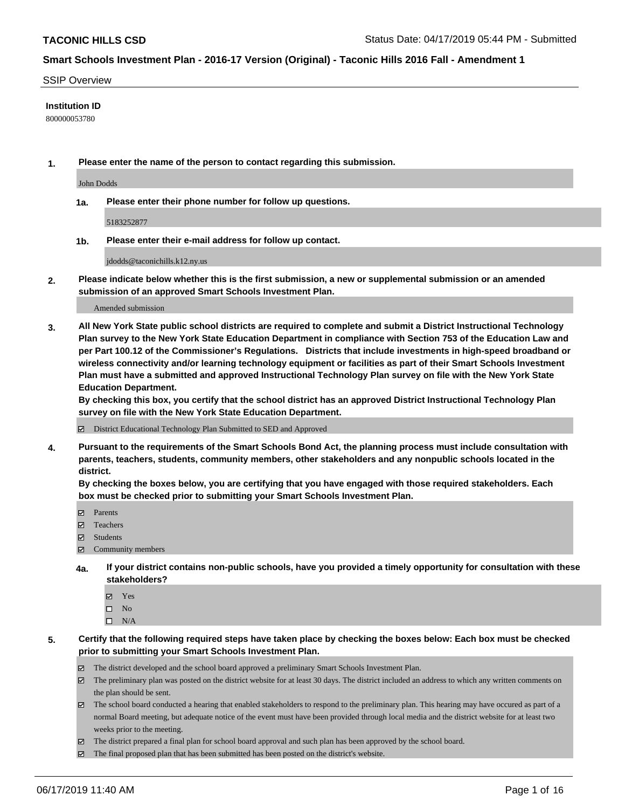#### SSIP Overview

#### **Institution ID**

800000053780

**1. Please enter the name of the person to contact regarding this submission.**

John Dodds

**1a. Please enter their phone number for follow up questions.**

5183252877

**1b. Please enter their e-mail address for follow up contact.**

jdodds@taconichills.k12.ny.us

**2. Please indicate below whether this is the first submission, a new or supplemental submission or an amended submission of an approved Smart Schools Investment Plan.**

#### Amended submission

**3. All New York State public school districts are required to complete and submit a District Instructional Technology Plan survey to the New York State Education Department in compliance with Section 753 of the Education Law and per Part 100.12 of the Commissioner's Regulations. Districts that include investments in high-speed broadband or wireless connectivity and/or learning technology equipment or facilities as part of their Smart Schools Investment Plan must have a submitted and approved Instructional Technology Plan survey on file with the New York State Education Department.** 

**By checking this box, you certify that the school district has an approved District Instructional Technology Plan survey on file with the New York State Education Department.**

District Educational Technology Plan Submitted to SED and Approved

**4. Pursuant to the requirements of the Smart Schools Bond Act, the planning process must include consultation with parents, teachers, students, community members, other stakeholders and any nonpublic schools located in the district.** 

**By checking the boxes below, you are certifying that you have engaged with those required stakeholders. Each box must be checked prior to submitting your Smart Schools Investment Plan.**

- Parents
- Teachers
- Students
- $\Xi$  Community members
- **4a. If your district contains non-public schools, have you provided a timely opportunity for consultation with these stakeholders?**
	- Yes
	- $\square$  No
	- $\square$  N/A
- **5. Certify that the following required steps have taken place by checking the boxes below: Each box must be checked prior to submitting your Smart Schools Investment Plan.**
	- The district developed and the school board approved a preliminary Smart Schools Investment Plan.
	- $\boxtimes$  The preliminary plan was posted on the district website for at least 30 days. The district included an address to which any written comments on the plan should be sent.
	- $\boxtimes$  The school board conducted a hearing that enabled stakeholders to respond to the preliminary plan. This hearing may have occured as part of a normal Board meeting, but adequate notice of the event must have been provided through local media and the district website for at least two weeks prior to the meeting.
	- The district prepared a final plan for school board approval and such plan has been approved by the school board.
	- $\boxtimes$  The final proposed plan that has been submitted has been posted on the district's website.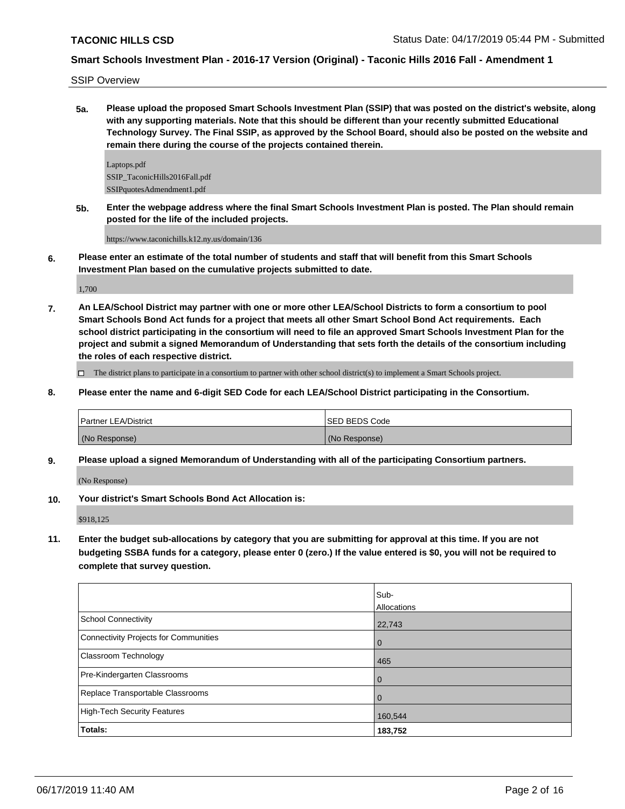SSIP Overview

**5a. Please upload the proposed Smart Schools Investment Plan (SSIP) that was posted on the district's website, along with any supporting materials. Note that this should be different than your recently submitted Educational Technology Survey. The Final SSIP, as approved by the School Board, should also be posted on the website and remain there during the course of the projects contained therein.**

Laptops.pdf SSIP\_TaconicHills2016Fall.pdf SSIPquotesAdmendment1.pdf

**5b. Enter the webpage address where the final Smart Schools Investment Plan is posted. The Plan should remain posted for the life of the included projects.**

https://www.taconichills.k12.ny.us/domain/136

**6. Please enter an estimate of the total number of students and staff that will benefit from this Smart Schools Investment Plan based on the cumulative projects submitted to date.**

1,700

**7. An LEA/School District may partner with one or more other LEA/School Districts to form a consortium to pool Smart Schools Bond Act funds for a project that meets all other Smart School Bond Act requirements. Each school district participating in the consortium will need to file an approved Smart Schools Investment Plan for the project and submit a signed Memorandum of Understanding that sets forth the details of the consortium including the roles of each respective district.**

 $\Box$  The district plans to participate in a consortium to partner with other school district(s) to implement a Smart Schools project.

**8. Please enter the name and 6-digit SED Code for each LEA/School District participating in the Consortium.**

| Partner LEA/District | ISED BEDS Code |
|----------------------|----------------|
| (No Response)        | (No Response)  |

**9. Please upload a signed Memorandum of Understanding with all of the participating Consortium partners.**

(No Response)

**10. Your district's Smart Schools Bond Act Allocation is:**

\$918,125

**11. Enter the budget sub-allocations by category that you are submitting for approval at this time. If you are not budgeting SSBA funds for a category, please enter 0 (zero.) If the value entered is \$0, you will not be required to complete that survey question.**

|                                       | Sub-<br>Allocations |
|---------------------------------------|---------------------|
| School Connectivity                   | 22,743              |
| Connectivity Projects for Communities | $\mathbf 0$         |
| Classroom Technology                  | 465                 |
| Pre-Kindergarten Classrooms           | $\mathbf 0$         |
| Replace Transportable Classrooms      | $\mathbf 0$         |
| High-Tech Security Features           | 160,544             |
| Totals:                               | 183,752             |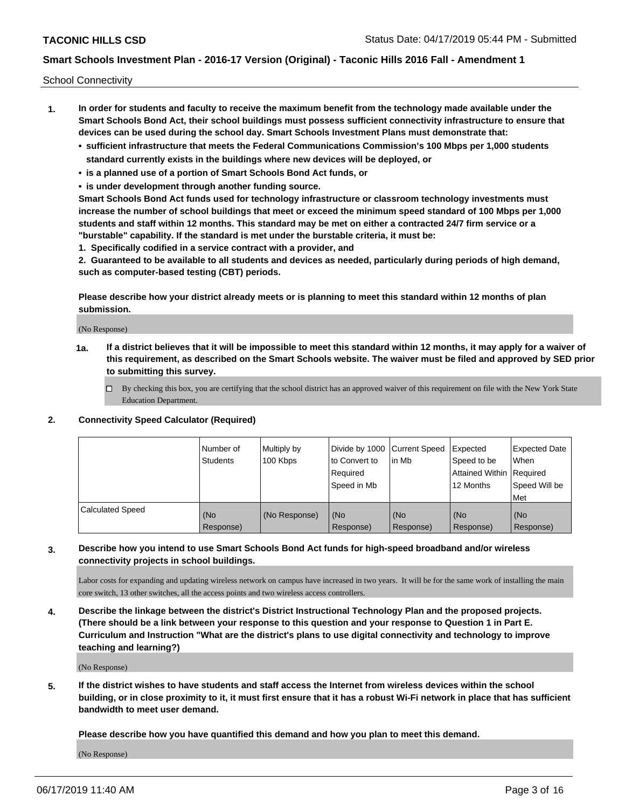School Connectivity

- **1. In order for students and faculty to receive the maximum benefit from the technology made available under the Smart Schools Bond Act, their school buildings must possess sufficient connectivity infrastructure to ensure that devices can be used during the school day. Smart Schools Investment Plans must demonstrate that:**
	- **• sufficient infrastructure that meets the Federal Communications Commission's 100 Mbps per 1,000 students standard currently exists in the buildings where new devices will be deployed, or**
	- **• is a planned use of a portion of Smart Schools Bond Act funds, or**
	- **• is under development through another funding source.**

**Smart Schools Bond Act funds used for technology infrastructure or classroom technology investments must increase the number of school buildings that meet or exceed the minimum speed standard of 100 Mbps per 1,000 students and staff within 12 months. This standard may be met on either a contracted 24/7 firm service or a "burstable" capability. If the standard is met under the burstable criteria, it must be:**

**1. Specifically codified in a service contract with a provider, and**

**2. Guaranteed to be available to all students and devices as needed, particularly during periods of high demand, such as computer-based testing (CBT) periods.**

**Please describe how your district already meets or is planning to meet this standard within 12 months of plan submission.**

(No Response)

**1a. If a district believes that it will be impossible to meet this standard within 12 months, it may apply for a waiver of this requirement, as described on the Smart Schools website. The waiver must be filed and approved by SED prior to submitting this survey.**

 $\Box$  By checking this box, you are certifying that the school district has an approved waiver of this requirement on file with the New York State Education Department.

#### **2. Connectivity Speed Calculator (Required)**

|                         | Number of<br>Students | Multiply by<br>100 Kbps | Divide by 1000 Current Speed<br>to Convert to<br>Required<br>Speed in Mb | l in Mb          | Expected<br>Speed to be<br>Attained Within   Required<br>12 Months | <b>Expected Date</b><br>When<br>Speed Will be<br><b>Met</b> |
|-------------------------|-----------------------|-------------------------|--------------------------------------------------------------------------|------------------|--------------------------------------------------------------------|-------------------------------------------------------------|
| <b>Calculated Speed</b> | (No<br>Response)      | (No Response)           | (No<br>Response)                                                         | (No<br>Response) | (No<br>Response)                                                   | (No<br>Response)                                            |

## **3. Describe how you intend to use Smart Schools Bond Act funds for high-speed broadband and/or wireless connectivity projects in school buildings.**

Labor costs for expanding and updating wireless network on campus have increased in two years. It will be for the same work of installing the main core switch, 13 other switches, all the access points and two wireless access controllers.

**4. Describe the linkage between the district's District Instructional Technology Plan and the proposed projects. (There should be a link between your response to this question and your response to Question 1 in Part E. Curriculum and Instruction "What are the district's plans to use digital connectivity and technology to improve teaching and learning?)**

(No Response)

**5. If the district wishes to have students and staff access the Internet from wireless devices within the school building, or in close proximity to it, it must first ensure that it has a robust Wi-Fi network in place that has sufficient bandwidth to meet user demand.**

**Please describe how you have quantified this demand and how you plan to meet this demand.**

(No Response)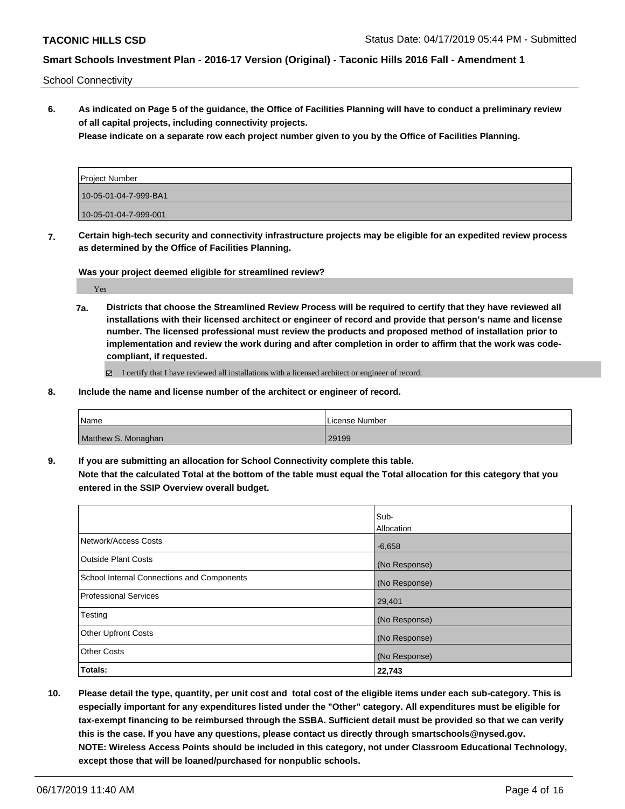School Connectivity

**6. As indicated on Page 5 of the guidance, the Office of Facilities Planning will have to conduct a preliminary review of all capital projects, including connectivity projects.**

**Please indicate on a separate row each project number given to you by the Office of Facilities Planning.**

| Project Number        |  |
|-----------------------|--|
| 10-05-01-04-7-999-BA1 |  |
| 10-05-01-04-7-999-001 |  |

**7. Certain high-tech security and connectivity infrastructure projects may be eligible for an expedited review process as determined by the Office of Facilities Planning.**

**Was your project deemed eligible for streamlined review?**

Yes

**7a. Districts that choose the Streamlined Review Process will be required to certify that they have reviewed all installations with their licensed architect or engineer of record and provide that person's name and license number. The licensed professional must review the products and proposed method of installation prior to implementation and review the work during and after completion in order to affirm that the work was codecompliant, if requested.**

I certify that I have reviewed all installations with a licensed architect or engineer of record.

**8. Include the name and license number of the architect or engineer of record.**

| l Name              | License Number |
|---------------------|----------------|
| Matthew S. Monaghan | 29199          |

**9. If you are submitting an allocation for School Connectivity complete this table. Note that the calculated Total at the bottom of the table must equal the Total allocation for this category that you entered in the SSIP Overview overall budget.** 

|                                            | Sub-          |
|--------------------------------------------|---------------|
|                                            | Allocation    |
| Network/Access Costs                       | $-6,658$      |
| <b>Outside Plant Costs</b>                 | (No Response) |
| School Internal Connections and Components | (No Response) |
| <b>Professional Services</b>               | 29,401        |
| Testing                                    | (No Response) |
| <b>Other Upfront Costs</b>                 | (No Response) |
| <b>Other Costs</b>                         | (No Response) |
| Totals:                                    | 22,743        |

**10. Please detail the type, quantity, per unit cost and total cost of the eligible items under each sub-category. This is especially important for any expenditures listed under the "Other" category. All expenditures must be eligible for tax-exempt financing to be reimbursed through the SSBA. Sufficient detail must be provided so that we can verify this is the case. If you have any questions, please contact us directly through smartschools@nysed.gov. NOTE: Wireless Access Points should be included in this category, not under Classroom Educational Technology, except those that will be loaned/purchased for nonpublic schools.**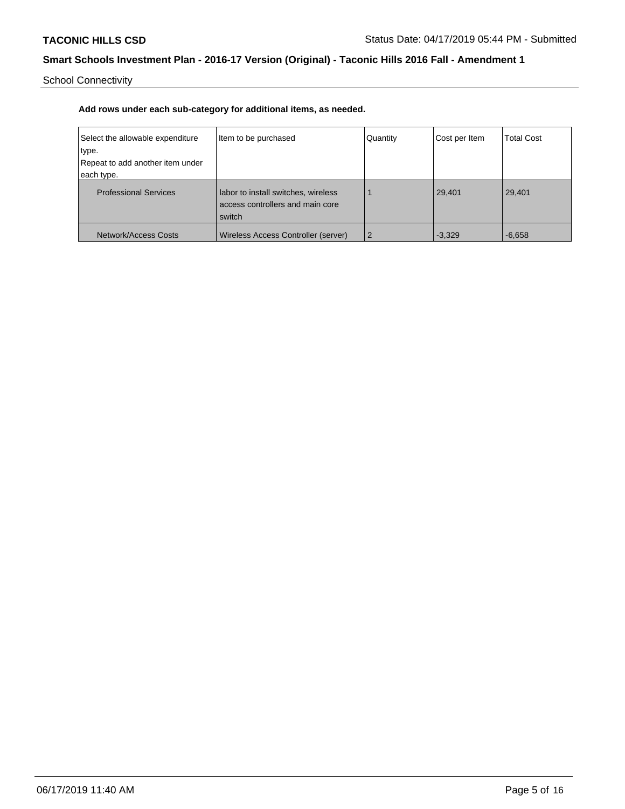School Connectivity

| Select the allowable expenditure<br>type.<br>Repeat to add another item under<br>each type. | Item to be purchased                                                              | Quantity       | Cost per Item | <b>Total Cost</b> |
|---------------------------------------------------------------------------------------------|-----------------------------------------------------------------------------------|----------------|---------------|-------------------|
| <b>Professional Services</b>                                                                | labor to install switches, wireless<br>access controllers and main core<br>switch |                | 29,401        | 29,401            |
| Network/Access Costs                                                                        | Wireless Access Controller (server)                                               | $\overline{2}$ | $-3.329$      | $-6.658$          |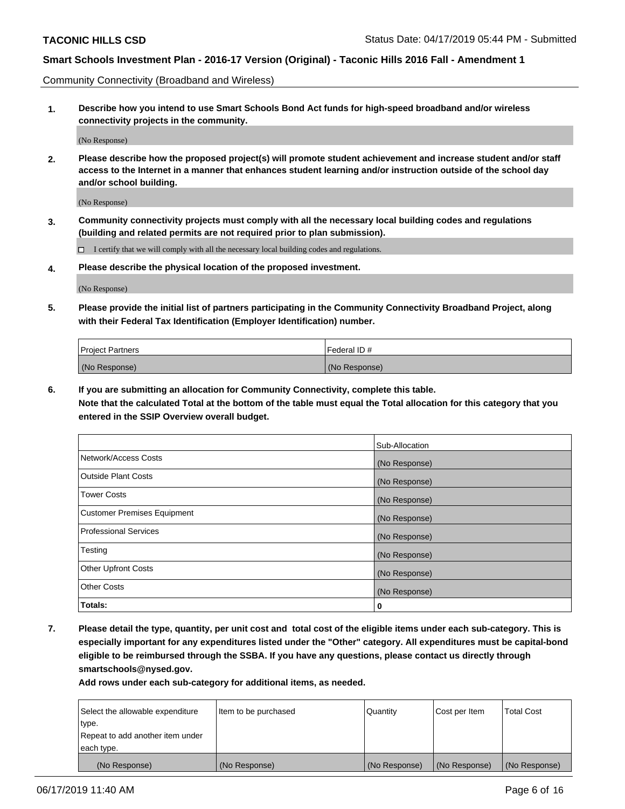Community Connectivity (Broadband and Wireless)

**1. Describe how you intend to use Smart Schools Bond Act funds for high-speed broadband and/or wireless connectivity projects in the community.**

(No Response)

**2. Please describe how the proposed project(s) will promote student achievement and increase student and/or staff access to the Internet in a manner that enhances student learning and/or instruction outside of the school day and/or school building.**

(No Response)

**3. Community connectivity projects must comply with all the necessary local building codes and regulations (building and related permits are not required prior to plan submission).**

 $\Box$  I certify that we will comply with all the necessary local building codes and regulations.

**4. Please describe the physical location of the proposed investment.**

(No Response)

**5. Please provide the initial list of partners participating in the Community Connectivity Broadband Project, along with their Federal Tax Identification (Employer Identification) number.**

| <b>Project Partners</b> | l Federal ID # |
|-------------------------|----------------|
| (No Response)           | (No Response)  |

**6. If you are submitting an allocation for Community Connectivity, complete this table.**

**Note that the calculated Total at the bottom of the table must equal the Total allocation for this category that you entered in the SSIP Overview overall budget.**

|                                    | Sub-Allocation |
|------------------------------------|----------------|
| Network/Access Costs               | (No Response)  |
| <b>Outside Plant Costs</b>         | (No Response)  |
| <b>Tower Costs</b>                 | (No Response)  |
| <b>Customer Premises Equipment</b> | (No Response)  |
| <b>Professional Services</b>       | (No Response)  |
| Testing                            | (No Response)  |
| <b>Other Upfront Costs</b>         | (No Response)  |
| <b>Other Costs</b>                 | (No Response)  |
| Totals:                            | 0              |

**7. Please detail the type, quantity, per unit cost and total cost of the eligible items under each sub-category. This is especially important for any expenditures listed under the "Other" category. All expenditures must be capital-bond eligible to be reimbursed through the SSBA. If you have any questions, please contact us directly through smartschools@nysed.gov.**

| Select the allowable expenditure | Item to be purchased | Quantity      | Cost per Item | <b>Total Cost</b> |
|----------------------------------|----------------------|---------------|---------------|-------------------|
| type.                            |                      |               |               |                   |
| Repeat to add another item under |                      |               |               |                   |
| each type.                       |                      |               |               |                   |
| (No Response)                    | (No Response)        | (No Response) | (No Response) | (No Response)     |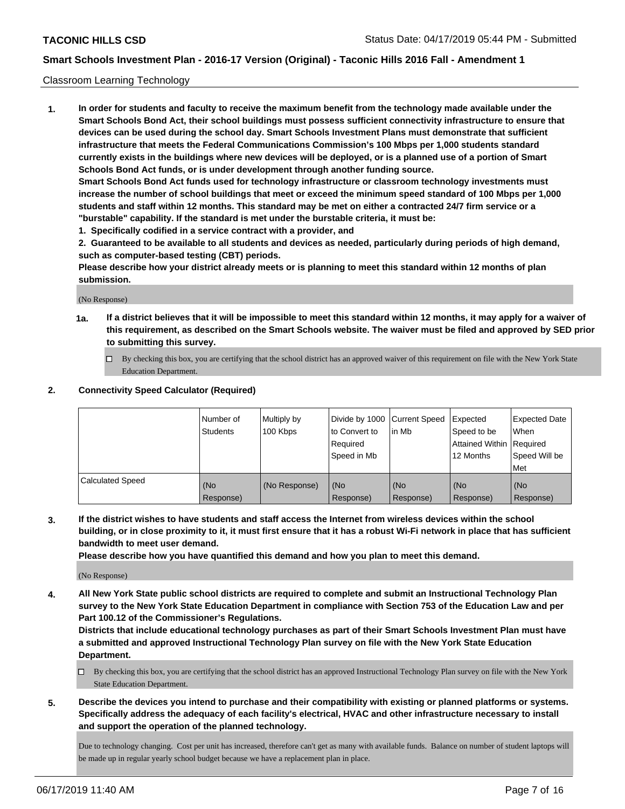#### Classroom Learning Technology

**1. In order for students and faculty to receive the maximum benefit from the technology made available under the Smart Schools Bond Act, their school buildings must possess sufficient connectivity infrastructure to ensure that devices can be used during the school day. Smart Schools Investment Plans must demonstrate that sufficient infrastructure that meets the Federal Communications Commission's 100 Mbps per 1,000 students standard currently exists in the buildings where new devices will be deployed, or is a planned use of a portion of Smart Schools Bond Act funds, or is under development through another funding source. Smart Schools Bond Act funds used for technology infrastructure or classroom technology investments must increase the number of school buildings that meet or exceed the minimum speed standard of 100 Mbps per 1,000 students and staff within 12 months. This standard may be met on either a contracted 24/7 firm service or a**

- **"burstable" capability. If the standard is met under the burstable criteria, it must be:**
- **1. Specifically codified in a service contract with a provider, and**

**2. Guaranteed to be available to all students and devices as needed, particularly during periods of high demand, such as computer-based testing (CBT) periods.**

**Please describe how your district already meets or is planning to meet this standard within 12 months of plan submission.**

(No Response)

- **1a. If a district believes that it will be impossible to meet this standard within 12 months, it may apply for a waiver of this requirement, as described on the Smart Schools website. The waiver must be filed and approved by SED prior to submitting this survey.**
	- By checking this box, you are certifying that the school district has an approved waiver of this requirement on file with the New York State Education Department.

#### **2. Connectivity Speed Calculator (Required)**

|                         | Number of<br><b>Students</b> | Multiply by<br>100 Kbps | Divide by 1000   Current Speed<br>to Convert to<br>Reauired<br>Speed in Mb | l in Mb          | Expected<br>Speed to be<br>Attained Within   Required<br>12 Months | Expected Date<br>When<br>Speed Will be<br>Met |
|-------------------------|------------------------------|-------------------------|----------------------------------------------------------------------------|------------------|--------------------------------------------------------------------|-----------------------------------------------|
| <b>Calculated Speed</b> | (No<br>Response)             | (No Response)           | (No<br>Response)                                                           | (No<br>Response) | (No<br>Response)                                                   | (No<br>Response)                              |

**3. If the district wishes to have students and staff access the Internet from wireless devices within the school building, or in close proximity to it, it must first ensure that it has a robust Wi-Fi network in place that has sufficient bandwidth to meet user demand.**

**Please describe how you have quantified this demand and how you plan to meet this demand.**

(No Response)

**4. All New York State public school districts are required to complete and submit an Instructional Technology Plan survey to the New York State Education Department in compliance with Section 753 of the Education Law and per Part 100.12 of the Commissioner's Regulations.**

**Districts that include educational technology purchases as part of their Smart Schools Investment Plan must have a submitted and approved Instructional Technology Plan survey on file with the New York State Education Department.**

- $\Box$  By checking this box, you are certifying that the school district has an approved Instructional Technology Plan survey on file with the New York State Education Department.
- **5. Describe the devices you intend to purchase and their compatibility with existing or planned platforms or systems. Specifically address the adequacy of each facility's electrical, HVAC and other infrastructure necessary to install and support the operation of the planned technology.**

Due to technology changing. Cost per unit has increased, therefore can't get as many with available funds. Balance on number of student laptops will be made up in regular yearly school budget because we have a replacement plan in place.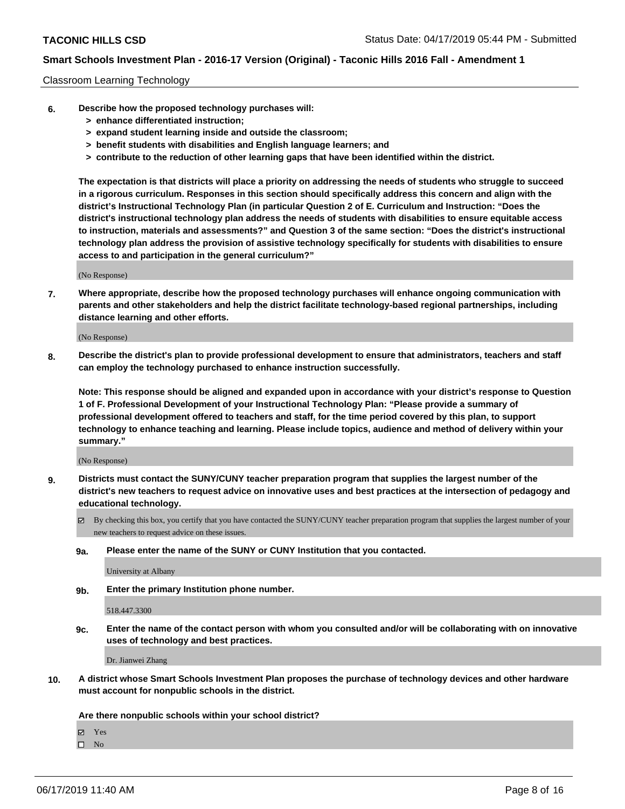#### Classroom Learning Technology

- **6. Describe how the proposed technology purchases will:**
	- **> enhance differentiated instruction;**
	- **> expand student learning inside and outside the classroom;**
	- **> benefit students with disabilities and English language learners; and**
	- **> contribute to the reduction of other learning gaps that have been identified within the district.**

**The expectation is that districts will place a priority on addressing the needs of students who struggle to succeed in a rigorous curriculum. Responses in this section should specifically address this concern and align with the district's Instructional Technology Plan (in particular Question 2 of E. Curriculum and Instruction: "Does the district's instructional technology plan address the needs of students with disabilities to ensure equitable access to instruction, materials and assessments?" and Question 3 of the same section: "Does the district's instructional technology plan address the provision of assistive technology specifically for students with disabilities to ensure access to and participation in the general curriculum?"**

(No Response)

**7. Where appropriate, describe how the proposed technology purchases will enhance ongoing communication with parents and other stakeholders and help the district facilitate technology-based regional partnerships, including distance learning and other efforts.**

(No Response)

**8. Describe the district's plan to provide professional development to ensure that administrators, teachers and staff can employ the technology purchased to enhance instruction successfully.**

**Note: This response should be aligned and expanded upon in accordance with your district's response to Question 1 of F. Professional Development of your Instructional Technology Plan: "Please provide a summary of professional development offered to teachers and staff, for the time period covered by this plan, to support technology to enhance teaching and learning. Please include topics, audience and method of delivery within your summary."**

(No Response)

- **9. Districts must contact the SUNY/CUNY teacher preparation program that supplies the largest number of the district's new teachers to request advice on innovative uses and best practices at the intersection of pedagogy and educational technology.**
	- By checking this box, you certify that you have contacted the SUNY/CUNY teacher preparation program that supplies the largest number of your new teachers to request advice on these issues.
	- **9a. Please enter the name of the SUNY or CUNY Institution that you contacted.**

University at Albany

**9b. Enter the primary Institution phone number.**

518.447.3300

**9c. Enter the name of the contact person with whom you consulted and/or will be collaborating with on innovative uses of technology and best practices.**

Dr. Jianwei Zhang

**10. A district whose Smart Schools Investment Plan proposes the purchase of technology devices and other hardware must account for nonpublic schools in the district.**

**Are there nonpublic schools within your school district?**

Yes

 $\square$  No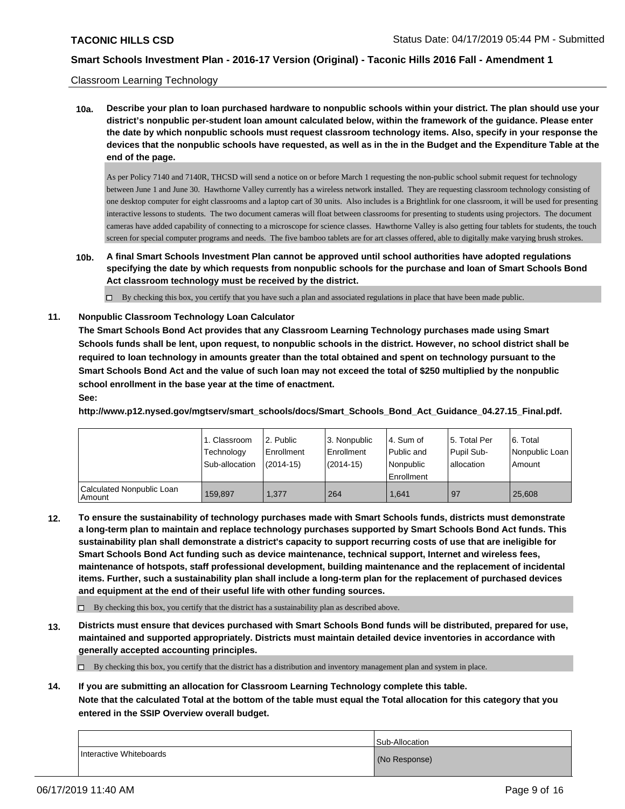#### Classroom Learning Technology

**10a. Describe your plan to loan purchased hardware to nonpublic schools within your district. The plan should use your district's nonpublic per-student loan amount calculated below, within the framework of the guidance. Please enter the date by which nonpublic schools must request classroom technology items. Also, specify in your response the devices that the nonpublic schools have requested, as well as in the in the Budget and the Expenditure Table at the end of the page.**

As per Policy 7140 and 7140R, THCSD will send a notice on or before March 1 requesting the non-public school submit request for technology between June 1 and June 30. Hawthorne Valley currently has a wireless network installed. They are requesting classroom technology consisting of one desktop computer for eight classrooms and a laptop cart of 30 units. Also includes is a Brightlink for one classroom, it will be used for presenting interactive lessons to students. The two document cameras will float between classrooms for presenting to students using projectors. The document cameras have added capability of connecting to a microscope for science classes. Hawthorne Valley is also getting four tablets for students, the touch screen for special computer programs and needs. The five bamboo tablets are for art classes offered, able to digitally make varying brush strokes.

**10b. A final Smart Schools Investment Plan cannot be approved until school authorities have adopted regulations specifying the date by which requests from nonpublic schools for the purchase and loan of Smart Schools Bond Act classroom technology must be received by the district.**

 $\Box$  By checking this box, you certify that you have such a plan and associated regulations in place that have been made public.

#### **11. Nonpublic Classroom Technology Loan Calculator**

**The Smart Schools Bond Act provides that any Classroom Learning Technology purchases made using Smart Schools funds shall be lent, upon request, to nonpublic schools in the district. However, no school district shall be required to loan technology in amounts greater than the total obtained and spent on technology pursuant to the Smart Schools Bond Act and the value of such loan may not exceed the total of \$250 multiplied by the nonpublic school enrollment in the base year at the time of enactment. See:**

**http://www.p12.nysed.gov/mgtserv/smart\_schools/docs/Smart\_Schools\_Bond\_Act\_Guidance\_04.27.15\_Final.pdf.**

|                                       | 1. Classroom<br>Technology<br>Sub-allocation | 12. Public<br>l Enrollment<br>$(2014-15)$ | 3. Nonpublic<br>Enrollment<br>$(2014-15)$ | l 4. Sum of<br>Public and<br>Nonpublic<br>l Enrollment | 15. Total Per<br>Pupil Sub-<br>lallocation | 6. Total<br>l Nonpublic Loan I<br>Amount |
|---------------------------------------|----------------------------------------------|-------------------------------------------|-------------------------------------------|--------------------------------------------------------|--------------------------------------------|------------------------------------------|
| Calculated Nonpublic Loan<br>l Amount | 159.897                                      | 1.377                                     | 264                                       | 1.641                                                  | 97                                         | 25.608                                   |

**12. To ensure the sustainability of technology purchases made with Smart Schools funds, districts must demonstrate a long-term plan to maintain and replace technology purchases supported by Smart Schools Bond Act funds. This sustainability plan shall demonstrate a district's capacity to support recurring costs of use that are ineligible for Smart Schools Bond Act funding such as device maintenance, technical support, Internet and wireless fees, maintenance of hotspots, staff professional development, building maintenance and the replacement of incidental items. Further, such a sustainability plan shall include a long-term plan for the replacement of purchased devices and equipment at the end of their useful life with other funding sources.**

 $\Box$  By checking this box, you certify that the district has a sustainability plan as described above.

**13. Districts must ensure that devices purchased with Smart Schools Bond funds will be distributed, prepared for use, maintained and supported appropriately. Districts must maintain detailed device inventories in accordance with generally accepted accounting principles.**

By checking this box, you certify that the district has a distribution and inventory management plan and system in place.

**14. If you are submitting an allocation for Classroom Learning Technology complete this table. Note that the calculated Total at the bottom of the table must equal the Total allocation for this category that you entered in the SSIP Overview overall budget.**

|                         | Sub-Allocation |
|-------------------------|----------------|
| Interactive Whiteboards | (No Response)  |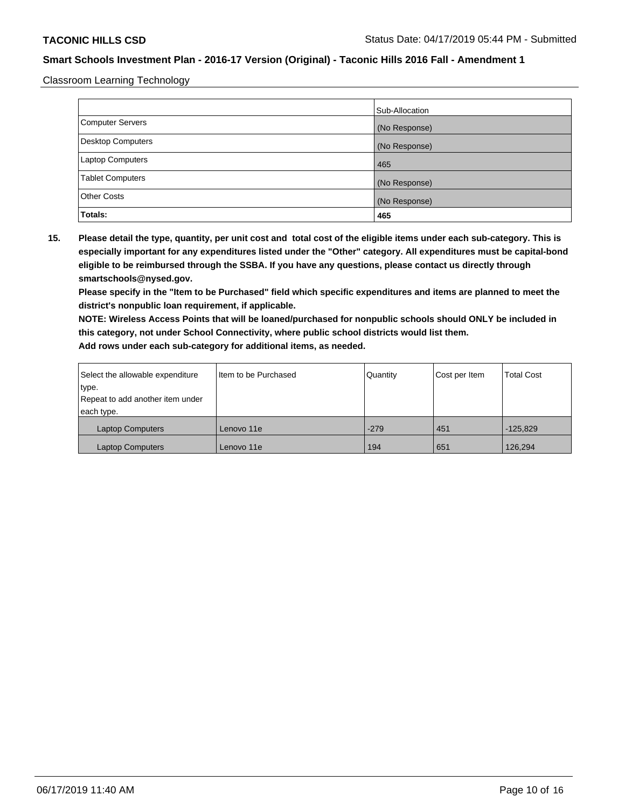Classroom Learning Technology

|                         | Sub-Allocation |
|-------------------------|----------------|
| Computer Servers        | (No Response)  |
| Desktop Computers       | (No Response)  |
| <b>Laptop Computers</b> | 465            |
| <b>Tablet Computers</b> | (No Response)  |
| <b>Other Costs</b>      | (No Response)  |
| Totals:                 | 465            |

**15. Please detail the type, quantity, per unit cost and total cost of the eligible items under each sub-category. This is especially important for any expenditures listed under the "Other" category. All expenditures must be capital-bond eligible to be reimbursed through the SSBA. If you have any questions, please contact us directly through smartschools@nysed.gov.**

**Please specify in the "Item to be Purchased" field which specific expenditures and items are planned to meet the district's nonpublic loan requirement, if applicable.**

**NOTE: Wireless Access Points that will be loaned/purchased for nonpublic schools should ONLY be included in this category, not under School Connectivity, where public school districts would list them.**

| Select the allowable expenditure | I Item to be Purchased | Quantity | Cost per Item | <b>Total Cost</b> |
|----------------------------------|------------------------|----------|---------------|-------------------|
| type.                            |                        |          |               |                   |
| Repeat to add another item under |                        |          |               |                   |
| each type.                       |                        |          |               |                   |
| <b>Laptop Computers</b>          | Lenovo 11e             | $-279$   | 451           | $-125.829$        |
| <b>Laptop Computers</b>          | Lenovo 11e             | 194      | 651           | 126,294           |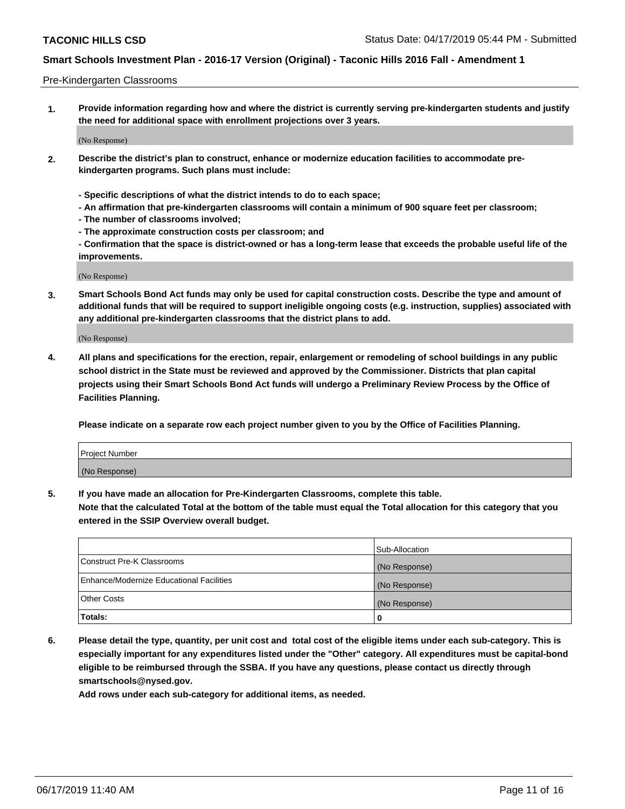#### Pre-Kindergarten Classrooms

**1. Provide information regarding how and where the district is currently serving pre-kindergarten students and justify the need for additional space with enrollment projections over 3 years.**

(No Response)

- **2. Describe the district's plan to construct, enhance or modernize education facilities to accommodate prekindergarten programs. Such plans must include:**
	- **Specific descriptions of what the district intends to do to each space;**
	- **An affirmation that pre-kindergarten classrooms will contain a minimum of 900 square feet per classroom;**
	- **The number of classrooms involved;**
	- **The approximate construction costs per classroom; and**
	- **Confirmation that the space is district-owned or has a long-term lease that exceeds the probable useful life of the improvements.**

(No Response)

**3. Smart Schools Bond Act funds may only be used for capital construction costs. Describe the type and amount of additional funds that will be required to support ineligible ongoing costs (e.g. instruction, supplies) associated with any additional pre-kindergarten classrooms that the district plans to add.**

(No Response)

**4. All plans and specifications for the erection, repair, enlargement or remodeling of school buildings in any public school district in the State must be reviewed and approved by the Commissioner. Districts that plan capital projects using their Smart Schools Bond Act funds will undergo a Preliminary Review Process by the Office of Facilities Planning.**

**Please indicate on a separate row each project number given to you by the Office of Facilities Planning.**

| Project Number |  |
|----------------|--|
| (No Response)  |  |
|                |  |

**5. If you have made an allocation for Pre-Kindergarten Classrooms, complete this table.**

**Note that the calculated Total at the bottom of the table must equal the Total allocation for this category that you entered in the SSIP Overview overall budget.**

|                                          | Sub-Allocation |
|------------------------------------------|----------------|
| Construct Pre-K Classrooms               | (No Response)  |
| Enhance/Modernize Educational Facilities | (No Response)  |
| <b>Other Costs</b>                       | (No Response)  |
| Totals:                                  | 0              |

**6. Please detail the type, quantity, per unit cost and total cost of the eligible items under each sub-category. This is especially important for any expenditures listed under the "Other" category. All expenditures must be capital-bond eligible to be reimbursed through the SSBA. If you have any questions, please contact us directly through smartschools@nysed.gov.**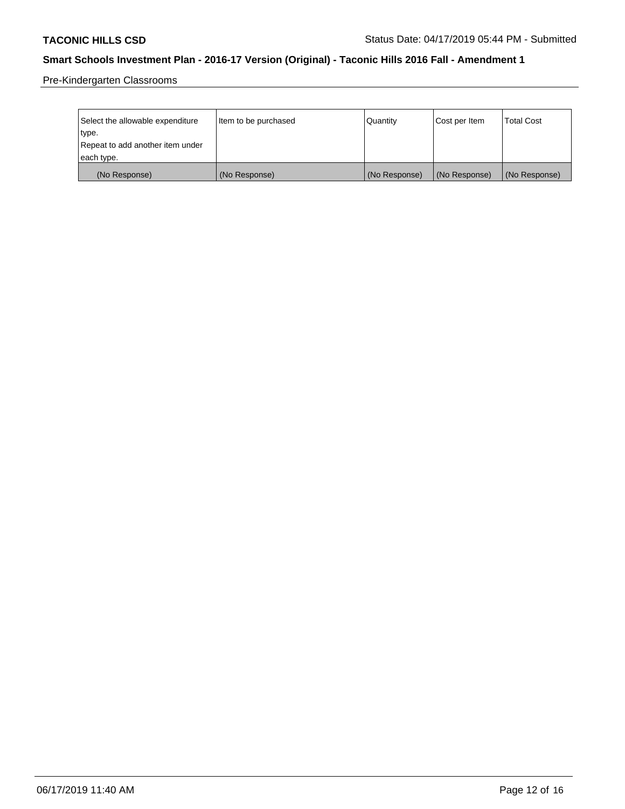Pre-Kindergarten Classrooms

| Select the allowable expenditure | Item to be purchased | Quantity      | Cost per Item | <b>Total Cost</b> |
|----------------------------------|----------------------|---------------|---------------|-------------------|
| type.                            |                      |               |               |                   |
| Repeat to add another item under |                      |               |               |                   |
| each type.                       |                      |               |               |                   |
| (No Response)                    | (No Response)        | (No Response) | (No Response) | (No Response)     |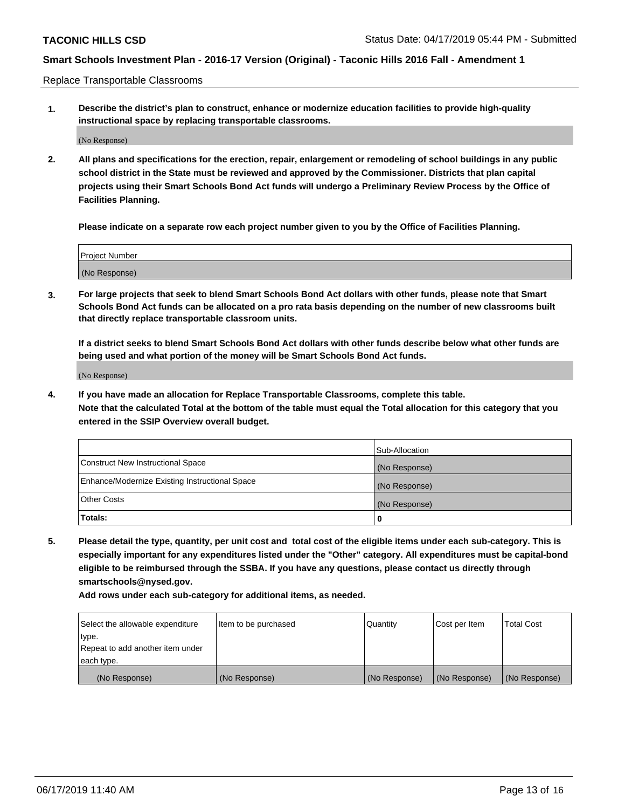Replace Transportable Classrooms

**1. Describe the district's plan to construct, enhance or modernize education facilities to provide high-quality instructional space by replacing transportable classrooms.**

(No Response)

**2. All plans and specifications for the erection, repair, enlargement or remodeling of school buildings in any public school district in the State must be reviewed and approved by the Commissioner. Districts that plan capital projects using their Smart Schools Bond Act funds will undergo a Preliminary Review Process by the Office of Facilities Planning.**

**Please indicate on a separate row each project number given to you by the Office of Facilities Planning.**

| Project Number |  |
|----------------|--|
|                |  |
|                |  |
|                |  |
|                |  |
| (No Response)  |  |
|                |  |
|                |  |
|                |  |

**3. For large projects that seek to blend Smart Schools Bond Act dollars with other funds, please note that Smart Schools Bond Act funds can be allocated on a pro rata basis depending on the number of new classrooms built that directly replace transportable classroom units.**

**If a district seeks to blend Smart Schools Bond Act dollars with other funds describe below what other funds are being used and what portion of the money will be Smart Schools Bond Act funds.**

(No Response)

**4. If you have made an allocation for Replace Transportable Classrooms, complete this table. Note that the calculated Total at the bottom of the table must equal the Total allocation for this category that you entered in the SSIP Overview overall budget.**

|                                                | Sub-Allocation |
|------------------------------------------------|----------------|
| Construct New Instructional Space              | (No Response)  |
| Enhance/Modernize Existing Instructional Space | (No Response)  |
| <b>Other Costs</b>                             | (No Response)  |
| Totals:                                        | 0              |

**5. Please detail the type, quantity, per unit cost and total cost of the eligible items under each sub-category. This is especially important for any expenditures listed under the "Other" category. All expenditures must be capital-bond eligible to be reimbursed through the SSBA. If you have any questions, please contact us directly through smartschools@nysed.gov.**

| Select the allowable expenditure | Item to be purchased | l Quantitv    | Cost per Item | <b>Total Cost</b> |
|----------------------------------|----------------------|---------------|---------------|-------------------|
| type.                            |                      |               |               |                   |
| Repeat to add another item under |                      |               |               |                   |
| each type.                       |                      |               |               |                   |
| (No Response)                    | (No Response)        | (No Response) | (No Response) | (No Response)     |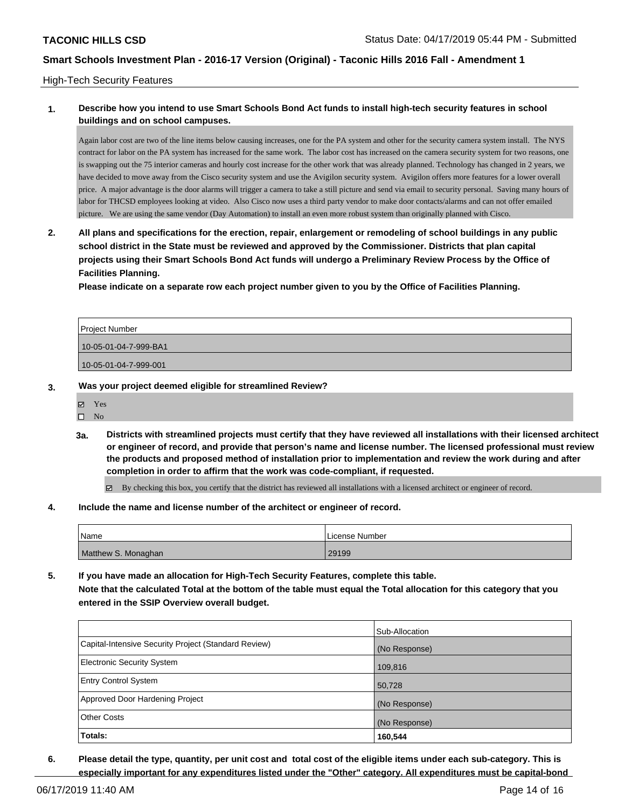#### High-Tech Security Features

## **1. Describe how you intend to use Smart Schools Bond Act funds to install high-tech security features in school buildings and on school campuses.**

Again labor cost are two of the line items below causing increases, one for the PA system and other for the security camera system install. The NYS contract for labor on the PA system has increased for the same work. The labor cost has increased on the camera security system for two reasons, one is swapping out the 75 interior cameras and hourly cost increase for the other work that was already planned. Technology has changed in 2 years, we have decided to move away from the Cisco security system and use the Avigilon security system. Avigilon offers more features for a lower overall price. A major advantage is the door alarms will trigger a camera to take a still picture and send via email to security personal. Saving many hours of labor for THCSD employees looking at video. Also Cisco now uses a third party vendor to make door contacts/alarms and can not offer emailed picture. We are using the same vendor (Day Automation) to install an even more robust system than originally planned with Cisco.

**2. All plans and specifications for the erection, repair, enlargement or remodeling of school buildings in any public school district in the State must be reviewed and approved by the Commissioner. Districts that plan capital projects using their Smart Schools Bond Act funds will undergo a Preliminary Review Process by the Office of Facilities Planning.** 

**Please indicate on a separate row each project number given to you by the Office of Facilities Planning.**

| <b>Project Number</b> |  |
|-----------------------|--|
| 10-05-01-04-7-999-BA1 |  |
| 10-05-01-04-7-999-001 |  |

- **3. Was your project deemed eligible for streamlined Review?**
	- Yes
		- $\square$  No
		- **3a. Districts with streamlined projects must certify that they have reviewed all installations with their licensed architect or engineer of record, and provide that person's name and license number. The licensed professional must review the products and proposed method of installation prior to implementation and review the work during and after completion in order to affirm that the work was code-compliant, if requested.**

By checking this box, you certify that the district has reviewed all installations with a licensed architect or engineer of record.

**4. Include the name and license number of the architect or engineer of record.**

| <sup>1</sup> Name   | License Number |
|---------------------|----------------|
| Matthew S. Monaghan | 29199          |

**5. If you have made an allocation for High-Tech Security Features, complete this table. Note that the calculated Total at the bottom of the table must equal the Total allocation for this category that you entered in the SSIP Overview overall budget.**

|                                                      | Sub-Allocation |
|------------------------------------------------------|----------------|
| Capital-Intensive Security Project (Standard Review) | (No Response)  |
| Electronic Security System                           | 109,816        |
| <b>Entry Control System</b>                          | 50,728         |
| Approved Door Hardening Project                      | (No Response)  |
| <b>Other Costs</b>                                   | (No Response)  |
| Totals:                                              | 160,544        |

**6. Please detail the type, quantity, per unit cost and total cost of the eligible items under each sub-category. This is especially important for any expenditures listed under the "Other" category. All expenditures must be capital-bond**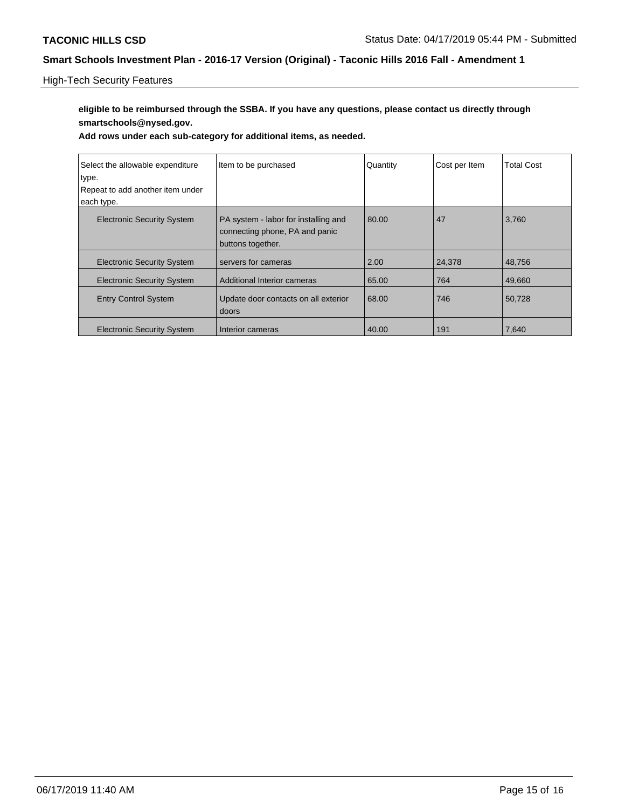## High-Tech Security Features

# **eligible to be reimbursed through the SSBA. If you have any questions, please contact us directly through smartschools@nysed.gov.**

| Select the allowable expenditure<br>type.<br>Repeat to add another item under | Item to be purchased                                                                        | Quantity | Cost per Item | <b>Total Cost</b> |
|-------------------------------------------------------------------------------|---------------------------------------------------------------------------------------------|----------|---------------|-------------------|
| each type.                                                                    |                                                                                             |          |               |                   |
| <b>Electronic Security System</b>                                             | PA system - labor for installing and<br>connecting phone, PA and panic<br>buttons together. | 80.00    | 47            | 3,760             |
| <b>Electronic Security System</b>                                             | servers for cameras                                                                         | 2.00     | 24,378        | 48,756            |
| <b>Electronic Security System</b>                                             | Additional Interior cameras                                                                 | 65.00    | 764           | 49,660            |
| <b>Entry Control System</b>                                                   | Update door contacts on all exterior<br>doors                                               | 68.00    | 746           | 50,728            |
| <b>Electronic Security System</b>                                             | Interior cameras                                                                            | 40.00    | 191           | 7,640             |